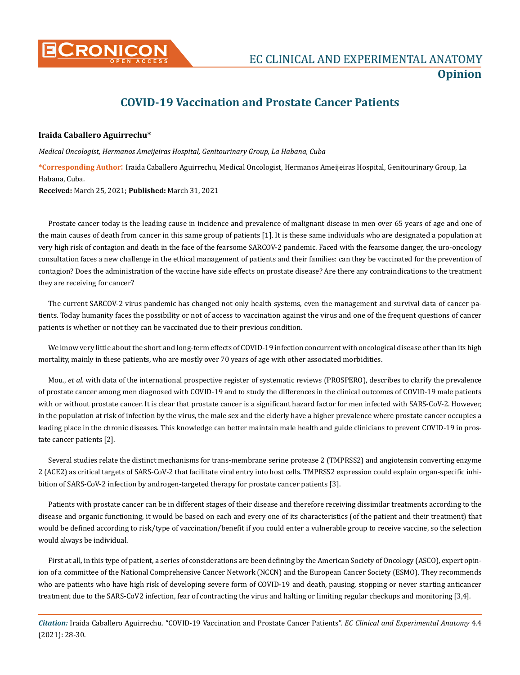

# **COVID-19 Vaccination and Prostate Cancer Patients**

### **Iraida Caballero Aguirrechu\***

*Medical Oncologist, Hermanos Ameijeiras Hospital, Genitourinary Group, La Habana, Cuba*

**\*Corresponding Author**: Iraida Caballero Aguirrechu, Medical Oncologist, Hermanos Ameijeiras Hospital, Genitourinary Group, La Habana, Cuba.

**Received:** March 25, 2021; **Published:** March 31, 2021

Prostate cancer today is the leading cause in incidence and prevalence of malignant disease in men over 65 years of age and one of the main causes of death from cancer in this same group of patients [1]. It is these same individuals who are designated a population at very high risk of contagion and death in the face of the fearsome SARCOV-2 pandemic. Faced with the fearsome danger, the uro-oncology consultation faces a new challenge in the ethical management of patients and their families: can they be vaccinated for the prevention of contagion? Does the administration of the vaccine have side effects on prostate disease? Are there any contraindications to the treatment they are receiving for cancer?

The current SARCOV-2 virus pandemic has changed not only health systems, even the management and survival data of cancer patients. Today humanity faces the possibility or not of access to vaccination against the virus and one of the frequent questions of cancer patients is whether or not they can be vaccinated due to their previous condition.

We know very little about the short and long-term effects of COVID-19 infection concurrent with oncological disease other than its high mortality, mainly in these patients, who are mostly over 70 years of age with other associated morbidities.

Mou., *et al*. with data of the international prospective register of systematic reviews (PROSPERO), describes to clarify the prevalence of prostate cancer among men diagnosed with COVID-19 and to study the differences in the clinical outcomes of COVID-19 male patients with or without prostate cancer. It is clear that prostate cancer is a significant hazard factor for men infected with SARS-CoV-2. However, in the population at risk of infection by the virus, the male sex and the elderly have a higher prevalence where prostate cancer occupies a leading place in the chronic diseases. This knowledge can better maintain male health and guide clinicians to prevent COVID-19 in prostate cancer patients [2].

Several studies relate the distinct mechanisms for trans-membrane serine protease 2 (TMPRSS2) and angiotensin converting enzyme 2 (ACE2) as critical targets of SARS-CoV-2 that facilitate viral entry into host cells. TMPRSS2 expression could explain organ-specific inhibition of SARS-CoV-2 infection by androgen-targeted therapy for prostate cancer patients [3].

Patients with prostate cancer can be in different stages of their disease and therefore receiving dissimilar treatments according to the disease and organic functioning, it would be based on each and every one of its characteristics (of the patient and their treatment) that would be defined according to risk/type of vaccination/benefit if you could enter a vulnerable group to receive vaccine, so the selection would always be individual.

First at all, in this type of patient, a series of considerations are been defining by the American Society of Oncology (ASCO), expert opinion of a committee of the National Comprehensive Cancer Network (NCCN) and the European Cancer Society (ESMO). They recommends who are patients who have high risk of developing severe form of COVID-19 and death, pausing, stopping or never starting anticancer treatment due to the SARS-CoV2 infection, fear of contracting the virus and halting or limiting regular checkups and monitoring [3,4].

*Citation:* Iraida Caballero Aguirrechu. "COVID-19 Vaccination and Prostate Cancer Patients". *EC Clinical and Experimental Anatomy* 4.4 (2021): 28-30.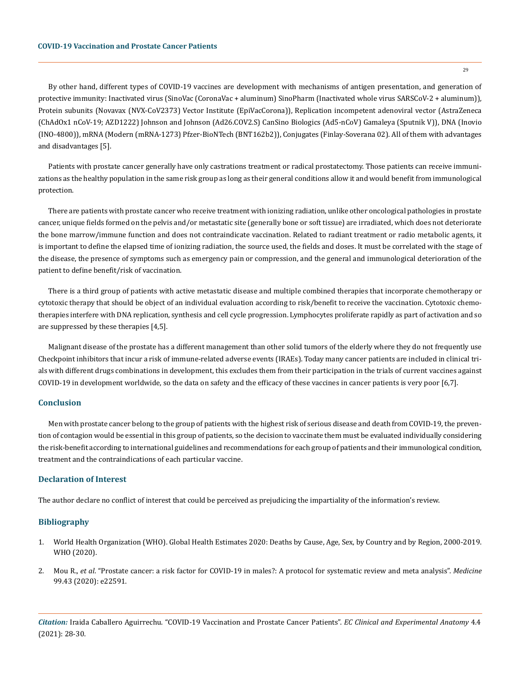By other hand, different types of COVID-19 vaccines are development with mechanisms of antigen presentation, and generation of protective immunity: Inactivated virus (SinoVac (CoronaVac + aluminum) SinoPharm (Inactivated whole virus SARSCoV-2 + aluminum)), Protein subunits (Novavax (NVX-CoV2373) Vector Institute (EpiVacCorona)), Replication incompetent adenoviral vector (AstraZeneca (ChAdOx1 nCoV-19; AZD1222) Johnson and Johnson (Ad26.COV2.S) CanSino Biologics (Ad5-nCoV) Gamaleya (Sputnik V)), DNA (Inovio (INO-4800)), mRNA (Modern (mRNA-1273) Pfzer-BioNTech (BNT162b2)), Conjugates (Finlay-Soverana 02). All of them with advantages and disadvantages [5].

Patients with prostate cancer generally have only castrations treatment or radical prostatectomy. Those patients can receive immunizations as the healthy population in the same risk group as long as their general conditions allow it and would benefit from immunological protection.

There are patients with prostate cancer who receive treatment with ionizing radiation, unlike other oncological pathologies in prostate cancer, unique fields formed on the pelvis and/or metastatic site (generally bone or soft tissue) are irradiated, which does not deteriorate the bone marrow/immune function and does not contraindicate vaccination. Related to radiant treatment or radio metabolic agents, it is important to define the elapsed time of ionizing radiation, the source used, the fields and doses. It must be correlated with the stage of the disease, the presence of symptoms such as emergency pain or compression, and the general and immunological deterioration of the patient to define benefit/risk of vaccination.

There is a third group of patients with active metastatic disease and multiple combined therapies that incorporate chemotherapy or cytotoxic therapy that should be object of an individual evaluation according to risk/benefit to receive the vaccination. Cytotoxic chemotherapies interfere with DNA replication, synthesis and cell cycle progression. Lymphocytes proliferate rapidly as part of activation and so are suppressed by these therapies [4,5].

Malignant disease of the prostate has a different management than other solid tumors of the elderly where they do not frequently use Checkpoint inhibitors that incur a risk of immune-related adverse events (IRAEs). Today many cancer patients are included in clinical trials with different drugs combinations in development, this excludes them from their participation in the trials of current vaccines against COVID-19 in development worldwide, so the data on safety and the efficacy of these vaccines in cancer patients is very poor [6,7].

#### **Conclusion**

Men with prostate cancer belong to the group of patients with the highest risk of serious disease and death from COVID-19, the prevention of contagion would be essential in this group of patients, so the decision to vaccinate them must be evaluated individually considering the risk-benefit according to international guidelines and recommendations for each group of patients and their immunological condition, treatment and the contraindications of each particular vaccine.

## **Declaration of Interest**

The author declare no conflict of interest that could be perceived as prejudicing the impartiality of the information's review.

#### **Bibliography**

- 1. [World Health Organization \(WHO\). Global Health Estimates 2020: Deaths by Cause, Age, Sex, by Country and by Region, 2000‐2019.](file:///F:/Not%20Uploaded/ECCEA/ECCEA-21-OP-112/who.int/data/gho/data/themes/mortality‐and‐global‐health‐estimates/ghe‐leading‐causes‐of‐death) [WHO \(2020\).](file:///F:/Not%20Uploaded/ECCEA/ECCEA-21-OP-112/who.int/data/gho/data/themes/mortality‐and‐global‐health‐estimates/ghe‐leading‐causes‐of‐death)
- 2. Mou R., *et al*[. "Prostate cancer: a risk factor for COVID-19 in males?: A protocol for systematic review and meta analysis".](https://journals.lww.com/md-journal/Fulltext/2020/10230/Prostate_cancer__a_risk_factor_for_COVID_19_in.22.aspx) *Medicine* [99.43 \(2020\): e22591.](https://journals.lww.com/md-journal/Fulltext/2020/10230/Prostate_cancer__a_risk_factor_for_COVID_19_in.22.aspx)

*Citation:* Iraida Caballero Aguirrechu. "COVID-19 Vaccination and Prostate Cancer Patients". *EC Clinical and Experimental Anatomy* 4.4 (2021): 28-30.

29